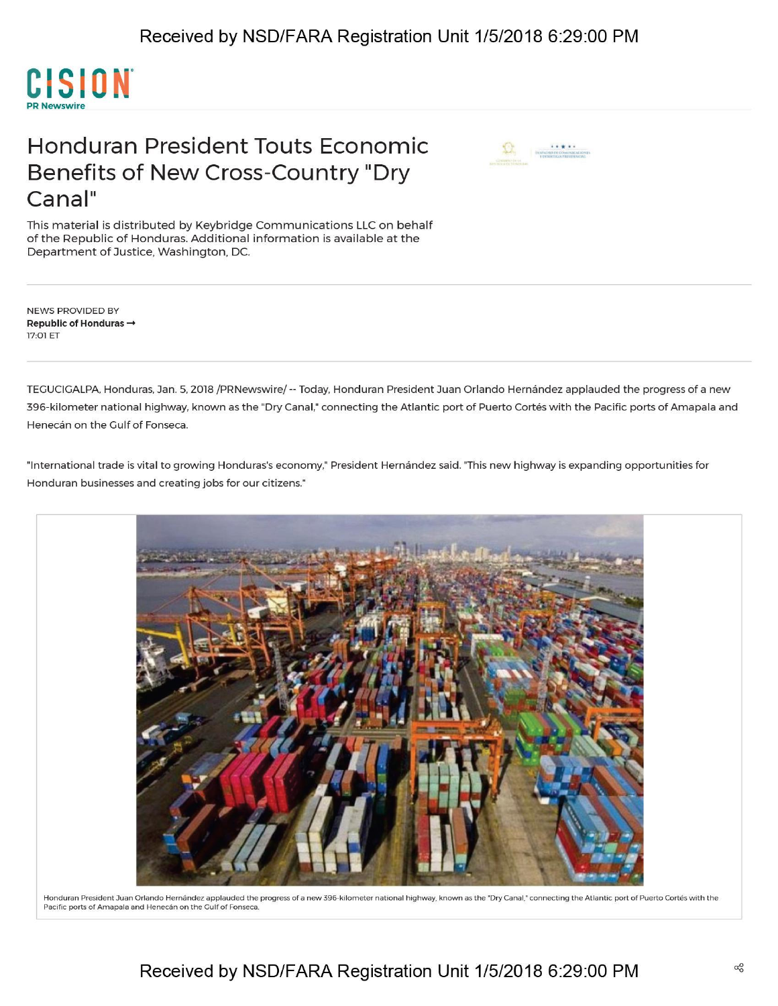

## Honduran President Touts Economic Benefits of New Cross-Country "Dry Canal"

|                                                       | <b>EMAPALHOUR COMENICALIONES</b><br>VESTRATIGIA FRESHHACIAL |
|-------------------------------------------------------|-------------------------------------------------------------|
| <b>SERVICES</b><br><b>RIFLWIN &amp; TX TITRES SAL</b> |                                                             |

This material is distributed by Keybridge Communications LLC on behalf of the Republic of Honduras. Additional information is available at the Department of Justice, Washington, DC.

NEWS PROVIDED BY **Republic of Honduras —»** 17:01 ET

TEGUCIGALPA, Honduras, Jan. 5, 2018 /PRNewswire/ -- Today, Honduran President Juan Orlando Hernández applauded the progress of a new 396-kilometer national highway, known as the "Dry Canal," connecting the Atlantic port of Puerto Cortés with the Pacific ports of Amapala and Henecán on the Gulf of Fonseca.

"International trade is vital to growing Honduras's economy," President Hernandez said. "This new highway is expanding opportunities for Honduran businesses and creating jobs for our citizens."



**.** Honduran President Juan Orlando Hernandez applauded the progressof a new 396-kilometer national highway, known as the "Dry Canal," connecting theAtlantic port of Puerto Cortes with the Pacific ports of Amapala and Henecán on the Gulf of Fonseca.

## Received by NSD/FARA Registration Unit 1/5/2018 6:29:00 PM